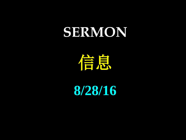## **SERMON**

信息

**8/28/16**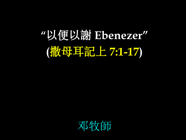## **"**以便以謝 **Ebenezer" (**撒母耳記上 **7:1-17)**

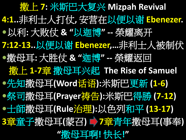撒上 **7:** 米斯巴大复兴 **Mizpah Revival 4:1..**非利士人打仗**,** 安营在以便以谢 **Ebenezer.** 以利**:** 大败仗 **& "**以迦博**" --** 榮耀离开 **7:12-13..**以便以谢 **Ebenezer,…**非利士人被制伏 撒母耳**:** 大胜仗 **& "**迦博**" --** 榮耀返回 撒上 **1-7**章 撒母耳兴起 **The Rise of Samuel** 先知撒母耳**(Word**话语**):**米斯巴更新 **(1-6)** 祭司撒母耳**(Prayer**祷告**):**米斯巴得勝 **(7-12)** ●士師撒母耳(Rule<del>治理</del>):以色列和平 (13-17) **3**章童子撒母耳**(**蒙召**) 7**章青年撒母耳**(**事奉**) "**撒母耳啊**!** 快长**!"**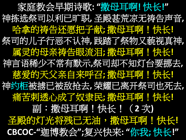家庭教会早期诗歌**: "**撒母耳啊**!** 快长**!"** 神拣选祭司以利已旷职**,** 圣殿甚荒凉无祷告声音**,** 哈拿的祷告还愿把子献**;** 撒母耳啊!快长**!** 祭司的儿子行恶不认神**,** 践踏了祭物又藐视真神**,** 属灵的母亲祷告眼流泪**;** 撒母耳啊!快长**!** 神言语稀少不常有默示**,**祭司却不知灯台要挪去**, 慈爱的天父亲自来呼召; 撒母耳啊!快长!** 神约柜被掳已被敌抢去**,** 荣耀已离开祭司也死去**, /痛苦刺透心成了奴隶民,撒母里啊!吃快长!** 副:撒母耳啊!快长!(**2** 次**)** 圣殿的灯光将残已无油,精母里啊!快长! **CBCOC-"**迦博教会**";**复兴快来**: "**你我**;** 快长**!"**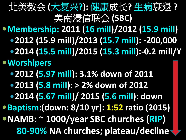北美教会 **(**大复兴**?):** 健康成长**?** 生病衰退 **?** 美南浸信联会 **(SBC) Membership: 2011 (16 mill)/2012 (15.9 mill) 2012 (15.9 mill)/2013 (15.7 mill): -200,000 2014 (15.5 mill)/2015 (15.3 mill):-0.2 mill/Y Worshipers 2012 (5.97 mill): 3.1% down of 2011 2013 (5.8 mill): > 2% down of 2012 2014 (5.67 mill)/ 2015 (5.6 mill): down Baptism:(down: 8/10 yr): 1:52 ratio (2015) NAMB: ~ 1000/year SBC churches (RIP) 80-90% NA churches; plateau/decline**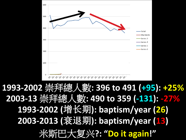## **2003-13** 崇拜總人數**: 490 to 359 (-131): -27% 1993-2002** 崇拜總人數**: 396 to 491 (+95): +25% 1993-2002 (**增长期**): baptism/year (26) 2003-2013 (**衰退期**): baptism/year (13)** 米斯巴大复兴**?: "Do it again!"**

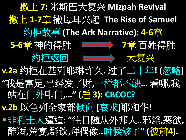撒上 **7:** 米斯巴大复兴 **Mizpah Revival** 撒上 **1-7**章 撒母耳兴起 **The Rise of Samuel** 约柜故事 **(The Ark Narrative): 4-6**章 **5-6**章 神的得胜 **7**章 百姓得胜 约柜返回 大复兴 **v.2a** 约柜在基列耶琳许久**.** 过了二十年**! (**忽略**) "**我是富足**,**已经发了财**,**一样都不缺**…** 看哪**,**我 站在门外叩门**,…" (**启 **3): CBCOC? v.2b** 以色列全家都倾向 **[**哀求**]**耶和华**!** 非利士人逼迫**: "**往日随从外邦人**..**邪淫**,**恶欲**,** 醉酒**,**荒宴**,**群饮**,**拜偶像**..**时候够了**" (**彼前**4).**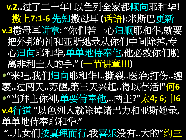**v.2..**过了二十年**!** 以色列全家都倾向耶和华**!** 撒上**7:1-6** 先知撒母耳 **(**话语**):**米斯巴更新 **v.3**撒母耳讲章**: "**你们若一心归顺耶和华**,**就要 把外邦的神和亚斯她录从你们中间除掉**,**专 心归向耶和华**,**单单地侍奉他**,**他必救你们脱 离非利士人的手**." (**一节讲章**!!!) "**来吧**,**我们归向耶和华**!..**撕裂**..**医治**;**打伤**..**缠 裹**..**过两天**..**苏醒**,**第三天兴起**..**得以存活**!"**何**6 "**当拜主你神**,**单要侍奉他**,..**两主**?"**太**4; 6;**申**6 v.4**行道 **"**以色列人就除掉诸巴力和亚斯她录**,** 单单地侍奉耶和华**." "..**儿女们按真理而行**,**我喜乐没有**..**大的**"**约三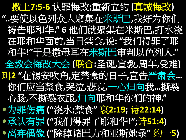撒上**7:5-6** 认罪悔改**;**重新立约 **(**真誠悔改**) "..**要使以色列众人聚集在米斯巴**,**我好为你们 祷告耶和华**." 6** 他们就聚集在米斯巴**,**打水浇 在耶和华面前**,**当日禁食**,**说**: "**我们得罪了耶 和华**!"**于是撒母耳在米斯巴审判以色列人**."** 全教会悔改大会 **(**联合**:**圣诞**,**宣教**,**周年**,**受难**)** 珥**2 "**在锡安吹角**,**定禁食的日子**,**宣告严肃会**…** 你们应当禁食**,**哭泣**,**悲哀**,**一心归向我**…**撕裂 心肠**,**不撕裂衣服**,**归向耶和华你们的神**."** 为罪伤痛 **("**浇水**;**禁食**"** 哀**2:19;** 诗**22:14)** 承认有罪 **("**我们得罪了耶和华**!";**诗**51:4)** 离弃偶像 **("**除掉诸巴力和亚斯她录**"** 约一**5)**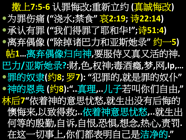撒上**7:5-6** 认罪悔改**;**重新立约 **(**真誠悔改**)** 为罪伤痛 **("**浇水**;**禁食**"** 哀**2:19;** 诗**22:14)** 承认有罪 **("**我们得罪了耶和华**!";**诗**51:4)** 离弃偶像 **("**除掉诸巴力和亚斯她录**"** 约一**5)** 帖**1…**离弃偶像归向神**,**要服侍又真又活的神**.** 巴力**/**亚斯她录**?:**财**,**色**,**权神**;**毒酒瘾**,**梦**,**网**,Ip,…** 罪的奴隶**(**约**8;** 罗**7): "**犯罪的**,**就是罪的奴仆**"** 神的恩典 **(**约**8):"..**真理**,..**儿子若叫你们自由**,"** 林后**7"**依着神的意思忧愁**,**就生出没有后悔的 懊悔来**,**以致得救**;..**依着神意思忧愁**,..**就生出 何等的殷勤**,**自诉**,**自恨**,**恐惧**,**想念**,**热心**,**责罚**.** 在这一切事上**,**你们都表明自己是洁净的**."**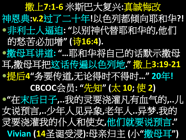撒上**7:1-6** 米斯巴大复兴**:**真誠悔改 神恩典**:v.2**过了二十年**!**以色列都倾向耶和华**?!** 非利士人逼迫**: "**以别神代替耶和华的**,**他们 的愁苦必加增**" (**诗**16:4).** 撒母耳讲道**: "…**耶和华将自己的话默示撒母 耳**,**撒母耳把这话传遍以色列地**."** 撒上**3:19-21** 提后**4"**务要传道**,**无论得时不得时**…" 20**年**! CBCOC**会员**: "**先知**" (**太 **10;** 使 **2) "**在末后日子**,..**我的灵要浇灌凡有血气的**,..**儿 女说预言**,..**少年人见异象**,**老年人**..**异梦**.**我的 灵要浇灌我的仆人和使女**,**他们就要说预言**." Vivian (14**圣诞受浸**):**母亲归主 **(**小**"**撒母耳**")**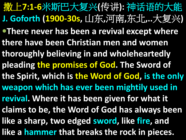撒上**7:1-6**米斯巴大复兴**(**传讲**):** 神话语的大能 **J. Goforth (1900-30s,** 山东**,**河南**,**东北**,..**大复兴**) There never has been a revival except where there have been Christian men and women thoroughly believing in and wholeheartedly pleading the promises of God. The Sword of the Spirit, which is the Word of God, is the only weapon which has ever been mightily used in revival. Where it has been given for what it claims to be, the Word of God has always been like a sharp, two edged sword, like fire, and like a hammer that breaks the rock in pieces.**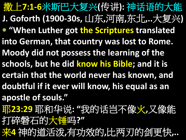撒上**7:1-6**米斯巴大复兴**(**传讲**):** 神话语的大能 **J. Goforth (1900-30s,** 山东**,**河南**,**东北**,..**大复兴**) "When Luther got the Scriptures translated into German, that country was lost to Rome. Moody did not possess the learning of the schools, but he did know his Bible; and it is certain that the world never has known, and doubtful if it ever will know, his equal as an apostle of souls."** 耶**23:29** 耶和华说**: "**我的话岂不像火**,**又像能 打碎磐石的大锤吗**?"** 来**4** 神的道活泼**,**有功效的**,**比两刃的剑更快**,..**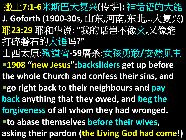撒上**7:1-6**米斯巴大复兴**(**传讲**):** 神话语的大能 **J. Goforth (1900-30s,** 山东**,**河南**,**东北**,..**大复兴**)** 耶**23:29** 耶和华说**: "**我的话岂不像火**,**又像能 打碎磐石的大锤吗**?"** 山西太原**:**殉道省**-59**屠杀**:**女孩勇敢**/**安然见主 **1908 "new Jesus":backsliders get up before the whole Church and confess their sins, and go right back to their neighbours and pay back anything that they owed, and beg the forgiveness of all whom they had wronged. to abase themselves before their wives, asking their pardon (the Living God had come!)**